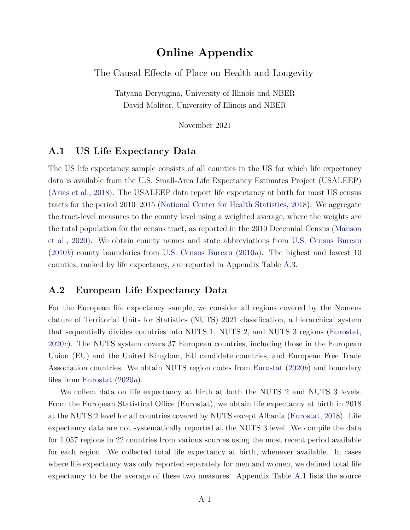## **Online Appendix**

The Causal Effects of Place on Health and Longevity

Tatyana Deryugina, University of Illinois and NBER David Molitor, University of Illinois and NBER

November 2021

#### **A.1 US Life Expectancy Data**

The US life expectancy sample consists of all counties in the US for which life expectancy data is available from the U.S. Small-Area Life Expectancy Estimates Project (USALEEP) [\(Arias et al.,](#page-13-0) [2018\)](#page-13-0). The USALEEP data report life expectancy at birth for most US census tracts for the period 2010–2015 [\(National Center for Health Statistics,](#page-14-0) [2018\)](#page-14-0). We aggregate the tract-level measures to the county level using a weighted average, where the weights are the total population for the census tract, as reported in the 2010 Decennial Census [\(Manson](#page-14-1) [et al.,](#page-14-1) [2020\)](#page-14-1). We obtain county names and state abbreviations from [U.S. Census Bureau](#page-15-0) [\(2010](#page-15-0)*b*) county boundaries from [U.S. Census Bureau](#page-15-1) [\(2010](#page-15-1)*a*). The highest and lowest 10 counties, ranked by life expectancy, are reported in Appendix Table [A.3.](#page-8-0)

#### **A.2 European Life Expectancy Data**

For the European life expectancy sample, we consider all regions covered by the Nomenclature of Territorial Units for Statistics (NUTS) 2021 classification, a hierarchical system that sequentially divides countries into NUTS 1, NUTS 2, and NUTS 3 regions [\(Eurostat,](#page-13-1) [2020](#page-13-1)*c*). The NUTS system covers 37 European countries, including those in the European Union (EU) and the United Kingdom, EU candidate countries, and European Free Trade Association countries. We obtain NUTS region codes from [Eurostat](#page-13-2) [\(2020](#page-13-2)*b*) and boundary files from [Eurostat](#page-13-3) [\(2020](#page-13-3)*a*).

We collect data on life expectancy at birth at both the NUTS 2 and NUTS 3 levels. From the European Statistical Office (Eurostat), we obtain life expectancy at birth in 2018 at the NUTS 2 level for all countries covered by NUTS except Albania [\(Eurostat,](#page-13-4) [2018\)](#page-13-4). Life expectancy data are not systematically reported at the NUTS 3 level. We compile the data for 1,057 regions in 22 countries from various sources using the most recent period available for each region. We collected total life expectancy at birth, whenever available. In cases where life expectancy was only reported separately for men and women, we defined total life expectancy to be the average of these two measures. Appendix Table [A.1](#page-6-0) lists the source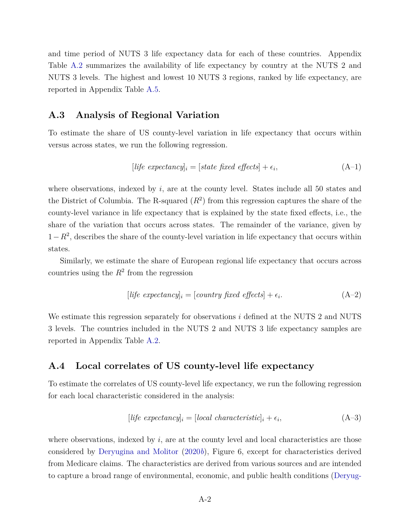and time period of NUTS 3 life expectancy data for each of these countries. Appendix Table [A.2](#page-7-0) summarizes the availability of life expectancy by country at the NUTS 2 and NUTS 3 levels. The highest and lowest 10 NUTS 3 regions, ranked by life expectancy, are reported in Appendix Table [A.5.](#page-10-0)

#### **A.3 Analysis of Regional Variation**

To estimate the share of US county-level variation in life expectancy that occurs within versus across states, we run the following regression.

$$
[life\;expectancy]_i = [state\;fixed\;effects] + \epsilon_i,\tag{A-1}
$$

where observations, indexed by  $i$ , are at the county level. States include all 50 states and the District of Columbia. The R-squared  $(R^2)$  from this regression captures the share of the county-level variance in life expectancy that is explained by the state fixed effects, i.e., the share of the variation that occurs across states. The remainder of the variance, given by  $1-R^2$ , describes the share of the county-level variation in life expectancy that occurs within states.

Similarly, we estimate the share of European regional life expectancy that occurs across countries using the  $R^2$  from the regression

$$
[life\;expectancy]_i = [country\; fixed\; effects] + \epsilon_i. \tag{A-2}
$$

We estimate this regression separately for observations *i* defined at the NUTS 2 and NUTS 3 levels. The countries included in the NUTS 2 and NUTS 3 life expectancy samples are reported in Appendix Table [A.2.](#page-7-0)

#### <span id="page-1-0"></span>**A.4 Local correlates of US county-level life expectancy**

To estimate the correlates of US county-level life expectancy, we run the following regression for each local characteristic considered in the analysis:

$$
[life\;expectancy]_i = [local\; characteristic]_i + \epsilon_i,
$$
\n(A-3)

where observations, indexed by  $i$ , are at the county level and local characteristics are those considered by [Deryugina and Molitor](#page-13-5) [\(2020](#page-13-5)*b*), Figure 6, except for characteristics derived from Medicare claims. The characteristics are derived from various sources and are intended to capture a broad range of environmental, economic, and public health conditions [\(Deryug-](#page-13-6)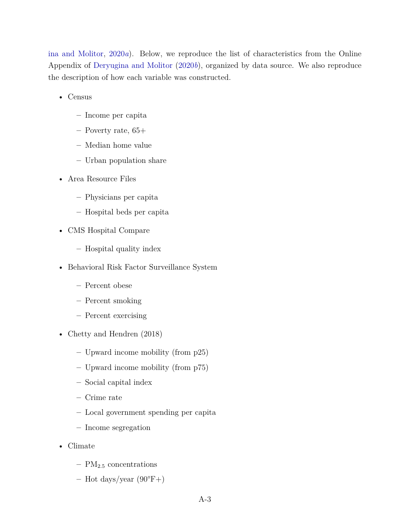[ina and Molitor,](#page-13-6) [2020](#page-13-6)*a*). Below, we reproduce the list of characteristics from the Online Appendix of [Deryugina and Molitor](#page-13-5) [\(2020](#page-13-5)*b*), organized by data source. We also reproduce the description of how each variable was constructed.

- Census
	- **–** Income per capita
	- **–** Poverty rate, 65+
	- **–** Median home value
	- **–** Urban population share
- Area Resource Files
	- **–** Physicians per capita
	- **–** Hospital beds per capita
- CMS Hospital Compare
	- **–** Hospital quality index
- Behavioral Risk Factor Surveillance System
	- **–** Percent obese
	- **–** Percent smoking
	- **–** Percent exercising
- Chetty and Hendren (2018)
	- **–** Upward income mobility (from p25)
	- **–** Upward income mobility (from p75)
	- **–** Social capital index
	- **–** Crime rate
	- **–** Local government spending per capita
	- **–** Income segregation
- Climate
	- **–** PM2*.*<sup>5</sup> concentrations
	- **–** Hot days/year (90°F+)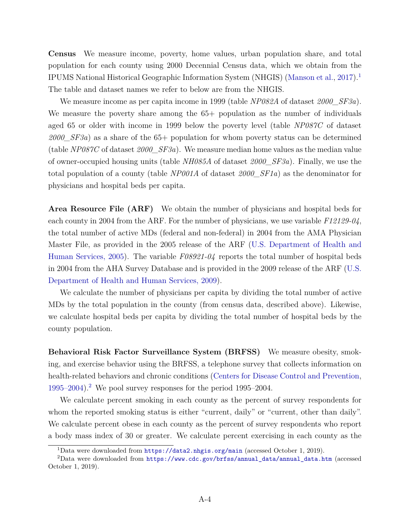**Census** We measure income, poverty, home values, urban population share, and total population for each county using 2000 Decennial Census data, which we obtain from the IPUMS National Historical Geographic Information System (NHGIS) [\(Manson et al.,](#page-14-2) [2017\)](#page-14-2).<sup>[1](#page-3-0)</sup> The table and dataset names we refer to below are from the NHGIS.

We measure income as per capita income in 1999 (table *NP082A* of dataset *2000\_SF3a*). We measure the poverty share among the  $65+$  population as the number of individuals aged 65 or older with income in 1999 below the poverty level (table *NP087C* of dataset *2000\_SF3a*) as a share of the 65+ population for whom poverty status can be determined (table *NP087C* of dataset *2000\_SF3a*). We measure median home values as the median value of owner-occupied housing units (table *NH085A* of dataset *2000\_SF3a*). Finally, we use the total population of a county (table *NP001A* of dataset *2000\_SF1a*) as the denominator for physicians and hospital beds per capita.

**Area Resource File (ARF)** We obtain the number of physicians and hospital beds for each county in 2004 from the ARF. For the number of physicians, we use variable *F12129-04*, the total number of active MDs (federal and non-federal) in 2004 from the AMA Physician Master File, as provided in the 2005 release of the ARF [\(U.S. Department of Health and](#page-16-0) [Human Services, 2005\)](#page-16-0). The variable *F08921-04* reports the total number of hospital beds in 2004 from the AHA Survey Database and is provided in the 2009 release of the ARF [\(U.S.](#page-16-1) [Department of Health and Human Services, 2009\)](#page-16-1).

We calculate the number of physicians per capita by dividing the total number of active MDs by the total population in the county (from census data, described above). Likewise, we calculate hospital beds per capita by dividing the total number of hospital beds by the county population.

**Behavioral Risk Factor Surveillance System (BRFSS)** We measure obesity, smoking, and exercise behavior using the BRFSS, a telephone survey that collects information on health-related behaviors and chronic conditions [\(Centers for Disease Control and Prevention,](#page-13-7) [1995–2004\)](#page-13-7).<sup>[2](#page-3-1)</sup> We pool survey responses for the period 1995–2004.

We calculate percent smoking in each county as the percent of survey respondents for whom the reported smoking status is either "current, daily" or "current, other than daily". We calculate percent obese in each county as the percent of survey respondents who report a body mass index of 30 or greater. We calculate percent exercising in each county as the

<span id="page-3-1"></span><span id="page-3-0"></span><sup>1</sup>Data were downloaded from <https://data2.nhgis.org/main> (accessed October 1, 2019).

<sup>2</sup>Data were downloaded from [https://www.cdc.gov/brfss/annual\\_data/annual\\_data.htm](https://www.cdc.gov/brfss/annual_data/annual_data.htm) (accessed October 1, 2019).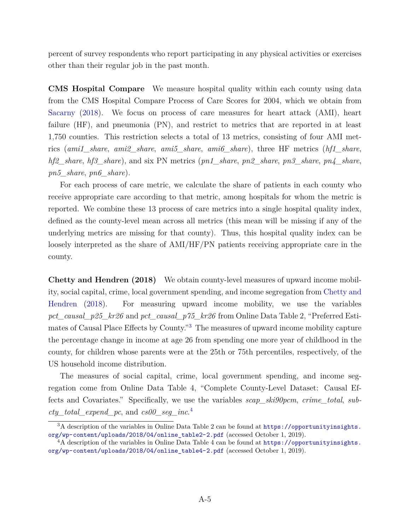percent of survey respondents who report participating in any physical activities or exercises other than their regular job in the past month.

**CMS Hospital Compare** We measure hospital quality within each county using data from the CMS Hospital Compare Process of Care Scores for 2004, which we obtain from [Sacarny](#page-14-3) [\(2018\)](#page-14-3). We focus on process of care measures for heart attack (AMI), heart failure (HF), and pneumonia (PN), and restrict to metrics that are reported in at least 1,750 counties. This restriction selects a total of 13 metrics, consisting of four AMI metrics (*ami1\_share*, *ami2\_share*, *ami5\_share*, *ami6\_share*), three HF metrics (*hf1\_share*, *hf2\_share*, *hf3\_share*), and six PN metrics (*pn1\_share*, *pn2\_share*, *pn3\_share*, *pn4\_share*, *pn5\_share*, *pn6\_share*).

For each process of care metric, we calculate the share of patients in each county who receive appropriate care according to that metric, among hospitals for whom the metric is reported. We combine these 13 process of care metrics into a single hospital quality index, defined as the county-level mean across all metrics (this mean will be missing if any of the underlying metrics are missing for that county). Thus, this hospital quality index can be loosely interpreted as the share of AMI/HF/PN patients receiving appropriate care in the county.

**Chetty and Hendren (2018)** We obtain county-level measures of upward income mobility, social capital, crime, local government spending, and income segregation from [Chetty and](#page-13-8) [Hendren](#page-13-8) [\(2018\)](#page-13-8). For measuring upward income mobility, we use the variables *pct\_causal\_p25\_kr26* and *pct\_causal\_p75\_kr26* from Online Data Table 2, "Preferred Estimates of Causal Place Effects by County."[3](#page-4-0) The measures of upward income mobility capture the percentage change in income at age 26 from spending one more year of childhood in the county, for children whose parents were at the 25th or 75th percentiles, respectively, of the US household income distribution.

The measures of social capital, crime, local government spending, and income segregation come from Online Data Table 4, "Complete County-Level Dataset: Causal Effects and Covariates." Specifically, we use the variables *scap\_ski90pcm*, *crime\_total*, *subcty\_total\_expend\_pc*, and *cs00\_seg\_inc*. [4](#page-4-1)

<span id="page-4-0"></span> $3A$  description of the variables in Online Data Table 2 can be found at  $https://opportunityinsights.$ [org/wp-content/uploads/2018/04/online\\_table2-2.pdf](https://opportunityinsights.org/wp-content/uploads/2018/04/online_table2-2.pdf) (accessed October 1, 2019).

<span id="page-4-1"></span> $4A$  description of the variables in Online Data Table 4 can be found at [https://opportunityinsights.](https://opportunityinsights.org/wp-content/uploads/2018/04/online_table4-2.pdf) [org/wp-content/uploads/2018/04/online\\_table4-2.pdf](https://opportunityinsights.org/wp-content/uploads/2018/04/online_table4-2.pdf) (accessed October 1, 2019).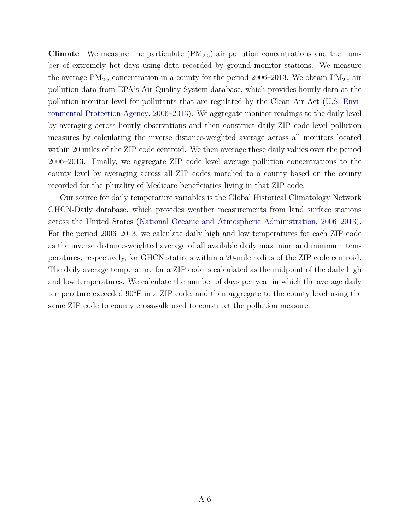**Climate** We measure fine particulate (PM2*.*5) air pollution concentrations and the number of extremely hot days using data recorded by ground monitor stations. We measure the average  $PM_{2.5}$  concentration in a county for the period 2006–2013. We obtain  $PM_{2.5}$  air pollution data from EPA's Air Quality System database, which provides hourly data at the pollution-monitor level for pollutants that are regulated by the Clean Air Act [\(U.S. Envi](#page-16-2)[ronmental Protection Agency,](#page-16-2) [2006–2013\)](#page-16-2). We aggregate monitor readings to the daily level by averaging across hourly observations and then construct daily ZIP code level pollution measures by calculating the inverse distance-weighted average across all monitors located within 20 miles of the ZIP code centroid. We then average these daily values over the period 2006–2013. Finally, we aggregate ZIP code level average pollution concentrations to the county level by averaging across all ZIP codes matched to a county based on the county recorded for the plurality of Medicare beneficiaries living in that ZIP code.

Our source for daily temperature variables is the Global Historical Climatology Network GHCN-Daily database, which provides weather measurements from land surface stations across the United States [\(National Oceanic and Atmospheric Administration,](#page-14-4) [2006–2013\)](#page-14-4). For the period 2006–2013, we calculate daily high and low temperatures for each ZIP code as the inverse distance-weighted average of all available daily maximum and minimum temperatures, respectively, for GHCN stations within a 20-mile radius of the ZIP code centroid. The daily average temperature for a ZIP code is calculated as the midpoint of the daily high and low temperatures. We calculate the number of days per year in which the average daily temperature exceeded 90°F in a ZIP code, and then aggregate to the county level using the same ZIP code to county crosswalk used to construct the pollution measure.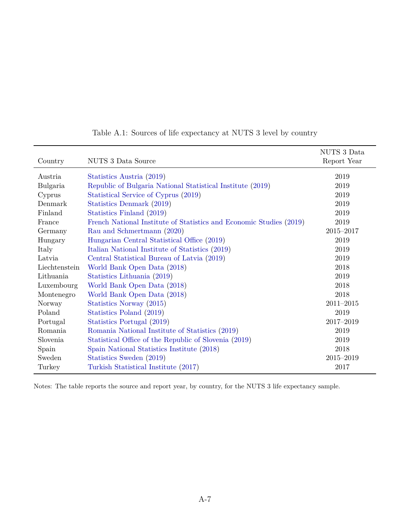<span id="page-6-0"></span>

|               |                                                                     | NUTS 3 Data   |
|---------------|---------------------------------------------------------------------|---------------|
| Country       | NUTS 3 Data Source                                                  | Report Year   |
| Austria       | Statistics Austria (2019)                                           | 2019          |
| Bulgaria      | Republic of Bulgaria National Statistical Institute (2019)          | 2019          |
| Cyprus        | Statistical Service of Cyprus (2019)                                | 2019          |
| Denmark       | Statistics Denmark (2019)                                           | 2019          |
| Finland       | Statistics Finland (2019)                                           | 2019          |
| France        | French National Institute of Statistics and Economic Studies (2019) | 2019          |
| Germany       | Rau and Schmertmann (2020)                                          | 2015-2017     |
| Hungary       | Hungarian Central Statistical Office (2019)                         | 2019          |
| Italy         | Italian National Institute of Statistics (2019)                     | 2019          |
| Latvia        | Central Statistical Bureau of Latvia (2019)                         | 2019          |
| Liechtenstein | World Bank Open Data (2018)                                         | 2018          |
| Lithuania     | Statistics Lithuania (2019)                                         | 2019          |
| Luxembourg    | World Bank Open Data (2018)                                         | 2018          |
| Montenegro    | World Bank Open Data (2018)                                         | 2018          |
| Norway        | Statistics Norway (2015)                                            | $2011 - 2015$ |
| Poland        | Statistics Poland (2019)                                            | 2019          |
| Portugal      | Statistics Portugal (2019)                                          | 2017-2019     |
| Romania       | Romania National Institute of Statistics (2019)                     | 2019          |
| Slovenia      | Statistical Office of the Republic of Slovenia (2019)               | 2019          |
| Spain         | Spain National Statistics Institute (2018)                          | 2018          |
| Sweden        | Statistics Sweden (2019)                                            | $2015 - 2019$ |
| Turkey        | Turkish Statistical Institute (2017)                                | 2017          |

### Table A.1: Sources of life expectancy at NUTS 3 level by country

Notes: The table reports the source and report year, by country, for the NUTS 3 life expectancy sample.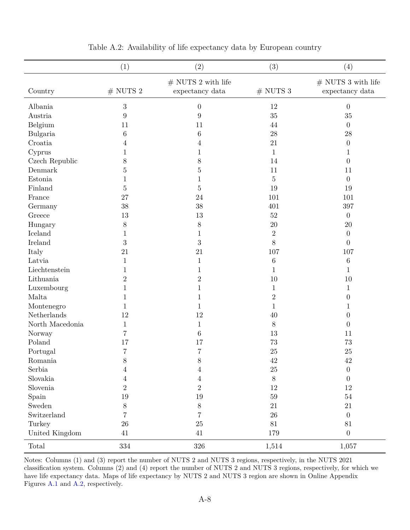<span id="page-7-0"></span>

|                 | (1)              | (2)                                      | (3)            | (4)                                      |
|-----------------|------------------|------------------------------------------|----------------|------------------------------------------|
| Country         | $\#$ NUTS $2$    | $\#$ NUTS 2 with life<br>expectancy data | $#$ NUTS 3     | $\#$ NUTS 3 with life<br>expectancy data |
| Albania         | 3                | $\boldsymbol{0}$                         | 12             | $\theta$                                 |
| Austria         | $9\phantom{.0}$  | $\boldsymbol{9}$                         | 35             | 35                                       |
| Belgium         | 11               | 11                                       | 44             | $\theta$                                 |
| Bulgaria        | $\,6\,$          | $\,6$                                    | 28             | ${\bf 28}$                               |
| Croatia         | 4                | 4                                        | 21             | $\boldsymbol{0}$                         |
| Cyprus          | 1                | 1                                        | $\mathbf{1}$   | 1                                        |
| Czech Republic  | 8                | 8                                        | 14             | $\boldsymbol{0}$                         |
| Denmark         | $\overline{5}$   | $\overline{5}$                           | 11             | 11                                       |
| Estonia         | 1                | $\,1$                                    | $\bf 5$        | $\overline{0}$                           |
| Finland         | $\overline{5}$   | $\bf 5$                                  | 19             | 19                                       |
| France          | 27               | 24                                       | 101            | 101                                      |
| Germany         | 38               | 38                                       | 401            | 397                                      |
| Greece          | $13\,$           | 13                                       | 52             | $\overline{0}$                           |
| Hungary         | $8\,$            | 8                                        | 20             | 20                                       |
| Iceland         | 1                | $\mathbf{1}$                             | $\overline{2}$ | $\theta$                                 |
| Ireland         | $\sqrt{3}$       | $\boldsymbol{3}$                         | $8\,$          | $\theta$                                 |
| Italy           | 21               | 21                                       | 107            | 107                                      |
| Latvia          | 1                | $\mathbf{1}$                             | $\,6\,$        | $\,6\,$                                  |
| Liechtenstein   | 1                | $\mathbf{1}$                             | 1              | $\mathbf{1}$                             |
| Lithuania       | $\boldsymbol{2}$ | $\sqrt{2}$                               | 10             | 10                                       |
| Luxembourg      | 1                | $\mathbf 1$                              | 1              | $\mathbf 1$                              |
| Malta           | 1                | 1                                        | $\overline{2}$ | $\overline{0}$                           |
| Montenegro      | 1                | $\mathbf{1}$                             | 1              | 1                                        |
| Netherlands     | 12               | $12\,$                                   | 40             | $\boldsymbol{0}$                         |
| North Macedonia | 1                | $\mathbf{1}$                             | $8\,$          | $\boldsymbol{0}$                         |
| Norway          | 7                | $\,6\,$                                  | 13             | 11                                       |
| Poland          | 17               | 17                                       | 73             | 73                                       |
| Portugal        | 7                | $\overline{7}$                           | 25             | 25                                       |
| Romania         | $8\,$            | $8\,$                                    | 42             | $42\,$                                   |
| Serbia          | $\overline{4}$   | $\overline{4}$                           | $25\,$         | $\boldsymbol{0}$                         |
| Slovakia        | 4                | $\overline{4}$                           | $8\,$          | $\theta$                                 |
| Slovenia        | $\overline{2}$   | $\overline{2}$                           | 12             | 12                                       |
| Spain           | $19\,$           | $19\,$                                   | $59\,$         | $54\,$                                   |
| Sweden          | $8\,$            | $8\,$                                    | 21             | 21                                       |
| Switzerland     | $\overline{7}$   | $\overline{7}$                           | 26             | $\boldsymbol{0}$                         |
| Turkey          | $26\,$           | $25\,$                                   | 81             | $81\,$                                   |
| United Kingdom  | 41               | $41\,$                                   | 179            | $\boldsymbol{0}$                         |
| Total           | 334              | $326\,$                                  | 1,514          | 1,057                                    |

Table A.2: Availability of life expectancy data by European country

Notes: Columns (1) and (3) report the number of NUTS 2 and NUTS 3 regions, respectively, in the NUTS 2021 classification system. Columns (2) and (4) report the number of NUTS 2 and NUTS 3 regions, respectively, for which we have life expectancy data. Maps of life expectancy by NUTS 2 and NUTS 3 region are shown in Online Appendix Figures [A.1](#page-11-0) and [A.2,](#page-12-0) respectively.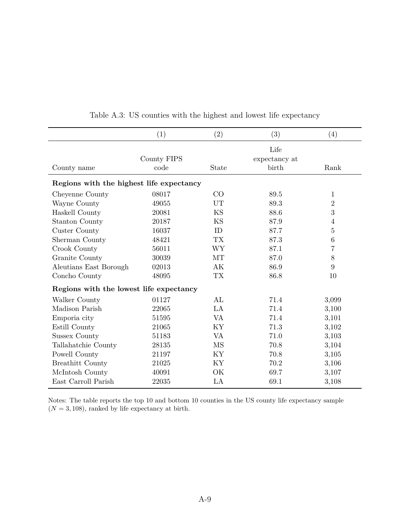<span id="page-8-0"></span>

|                                          | (1)                 | (2)       | (3)                            | (4)            |
|------------------------------------------|---------------------|-----------|--------------------------------|----------------|
| County name                              | County FIPS<br>code | State     | Life<br>expectancy at<br>birth | Rank           |
| Regions with the highest life expectancy |                     |           |                                |                |
| Cheyenne County                          | 08017               | CO        | 89.5                           | 1              |
| Wayne County                             | 49055               | UT        | 89.3                           | $\overline{2}$ |
| Haskell County                           | 20081               | KS        | 88.6                           | 3              |
| <b>Stanton County</b>                    | 20187               | KS        | 87.9                           | $\overline{4}$ |
| Custer County                            | 16037               | ID        | 87.7                           | 5              |
| Sherman County                           | 48421               | <b>TX</b> | 87.3                           | $\,6$          |
| Crook County                             | 56011               | <b>WY</b> | 87.1                           | 7              |
| Granite County                           | 30039               | MT        | 87.0                           | 8              |
| Aleutians East Borough                   | 02013               | AK        | 86.9                           | 9              |
| Concho County                            | 48095               | <b>TX</b> | 86.8                           | 10             |
| Regions with the lowest life expectancy  |                     |           |                                |                |
| Walker County                            | 01127               | AL        | 71.4                           | 3,099          |
| Madison Parish                           | 22065               | LA        | 71.4                           | 3,100          |
| Emporia city                             | 51595               | VA        | 71.4                           | 3,101          |
| Estill County                            | 21065               | KY        | 71.3                           | 3,102          |
| Sussex County                            | 51183               | VA        | 71.0                           | 3,103          |
| Tallahatchie County                      | 28135               | MS        | 70.8                           | 3,104          |
| Powell County                            | 21197               | KY        | 70.8                           | 3,105          |
| <b>Breathitt County</b>                  | 21025               | KY        | 70.2                           | 3,106          |
| McIntosh County                          | 40091               | OK        | 69.7                           | 3,107          |
| East Carroll Parish                      | 22035               | LA        | 69.1                           | 3,108          |

Table A.3: US counties with the highest and lowest life expectancy

Notes: The table reports the top 10 and bottom 10 counties in the US county life expectancy sample  $(N = 3, 108)$ , ranked by life expectancy at birth.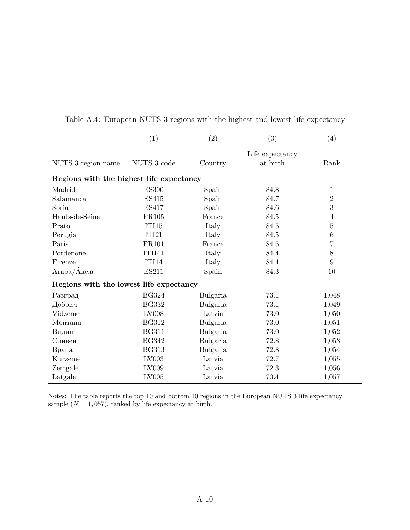|                                          | (1)          | (2)      | (3)             | (4)            |
|------------------------------------------|--------------|----------|-----------------|----------------|
|                                          |              |          | Life expectancy |                |
| NUTS 3 region name                       | NUTS 3 code  | Country  | at birth        | Rank           |
| Regions with the highest life expectancy |              |          |                 |                |
| Madrid                                   | <b>ES300</b> | Spain    | 84.8            | 1              |
| Salamanca                                | <b>ES415</b> | Spain    | 84.7            | $\overline{2}$ |
| Soria                                    | <b>ES417</b> | Spain    | 84.6            | 3              |
| Hauts-de-Seine                           | <b>FR105</b> | France   | 84.5            | 4              |
| Prato                                    | <b>ITI15</b> | Italy    | 84.5            | $\mathbf 5$    |
| Perugia                                  | ITI21        | Italy    | 84.5            | $\,6$          |
| Paris                                    | FR101        | France   | 84.5            | $\overline{7}$ |
| Pordenone                                | ITH41        | Italy    | 84.4            | $8\,$          |
| Firenze                                  | ITI14        | Italy    | 84.4            | 9              |
| Araba/Álava                              | <b>ES211</b> | Spain    | 84.3            | 10             |
| Regions with the lowest life expectancy  |              |          |                 |                |
| Разград                                  | <b>BG324</b> | Bulgaria | 73.1            | 1,048          |
| Добрич                                   | <b>BG332</b> | Bulgaria | 73.1            | 1,049          |
| Vidzeme                                  | LV008        | Latvia   | 73.0            | 1,050          |
| Монтана                                  | <b>BG312</b> | Bulgaria | 73.0            | 1,051          |
| Видин                                    | <b>BG311</b> | Bulgaria | 73.0            | 1,052          |
| Сливен                                   | <b>BG342</b> | Bulgaria | 72.8            | 1,053          |
| Враца                                    | <b>BG313</b> | Bulgaria | 72.8            | 1,054          |
| Kurzeme                                  | LV003        | Latvia   | 72.7            | 1,055          |
| Zemgale                                  | LV009        | Latvia   | 72.3            | 1,056          |
| Latgale                                  | LV005        | Latvia   | 70.4            | 1,057          |

Table A.4: European NUTS 3 regions with the highest and lowest life expectancy

Notes: The table reports the top 10 and bottom 10 regions in the European NUTS 3 life expectancy sample  $(N = 1, 057)$ , ranked by life expectancy at birth.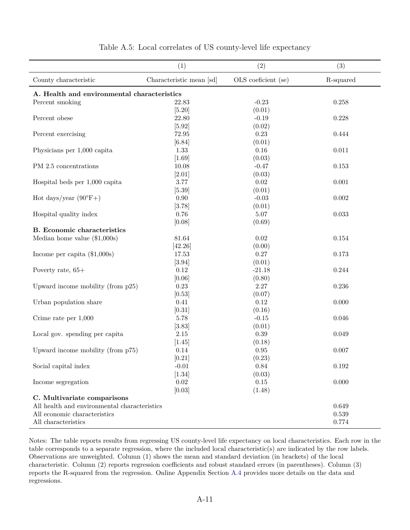<span id="page-10-0"></span>

|                                              | (1)                      | (2)                                                                                                                                                                                                                                                                                                                                                                                                                                                                                                                                                                                                                                                                                                                                                                                                                                                                              | (3)       |
|----------------------------------------------|--------------------------|----------------------------------------------------------------------------------------------------------------------------------------------------------------------------------------------------------------------------------------------------------------------------------------------------------------------------------------------------------------------------------------------------------------------------------------------------------------------------------------------------------------------------------------------------------------------------------------------------------------------------------------------------------------------------------------------------------------------------------------------------------------------------------------------------------------------------------------------------------------------------------|-----------|
| County characteristic                        | Characteristic mean [sd] | OLS coeficient (se)                                                                                                                                                                                                                                                                                                                                                                                                                                                                                                                                                                                                                                                                                                                                                                                                                                                              | R-squared |
| A. Health and environmental characteristics  |                          |                                                                                                                                                                                                                                                                                                                                                                                                                                                                                                                                                                                                                                                                                                                                                                                                                                                                                  |           |
| Percent smoking                              | 22.83                    | $-0.23$                                                                                                                                                                                                                                                                                                                                                                                                                                                                                                                                                                                                                                                                                                                                                                                                                                                                          | 0.258     |
|                                              | [5.20]                   | (0.01)<br>22.80<br>$-0.19$<br>0.228<br>[5.92]<br>(0.02)<br>72.95<br>0.23<br>0.444<br>[6.84]<br>(0.01)<br>0.16<br>0.011<br>1.33<br>(0.03)<br>$[1.69]$<br>10.08<br>$-0.47$<br>0.153<br>$[2.01]$<br>(0.03)<br>3.77<br>$0.02\,$<br>0.001<br>$[5.39]$<br>(0.01)<br>0.90<br>$-0.03$<br>$0.002\,$<br>[3.78]<br>(0.01)<br>0.76<br>$\,0.033\,$<br>$5.07\,$<br>(0.69)<br>[0.08]<br>81.64<br>$0.02\,$<br>$0.154\,$<br>[42.26]<br>(0.00)<br>17.53<br>0.27<br>0.173<br>(0.01)<br>[3.94]<br>0.12<br>$-21.18$<br>0.244<br>[0.06]<br>(0.80)<br>0.23<br>2.27<br>0.236<br>[0.53]<br>(0.07)<br>0.41<br>0.12<br>0.000<br>[0.31]<br>(0.16)<br>5.78<br>$-0.15$<br>0.046<br>[3.83]<br>(0.01)<br>$2.15\,$<br>0.39<br>0.049<br>(0.18)<br>$[1.45]$<br>0.14<br>$0.95\,$<br>0.007<br>$[0.21]$<br>(0.23)<br>$-0.01$<br>0.84<br>$\,0.192\,$<br>(0.03)<br>$[1.34]$<br>0.02<br>0.15<br>0.000<br>[0.03]<br>(1.48) |           |
| Percent obese                                |                          |                                                                                                                                                                                                                                                                                                                                                                                                                                                                                                                                                                                                                                                                                                                                                                                                                                                                                  |           |
|                                              |                          |                                                                                                                                                                                                                                                                                                                                                                                                                                                                                                                                                                                                                                                                                                                                                                                                                                                                                  |           |
| Percent exercising                           |                          |                                                                                                                                                                                                                                                                                                                                                                                                                                                                                                                                                                                                                                                                                                                                                                                                                                                                                  |           |
|                                              |                          |                                                                                                                                                                                                                                                                                                                                                                                                                                                                                                                                                                                                                                                                                                                                                                                                                                                                                  |           |
| Physicians per 1,000 capita                  |                          |                                                                                                                                                                                                                                                                                                                                                                                                                                                                                                                                                                                                                                                                                                                                                                                                                                                                                  |           |
|                                              |                          |                                                                                                                                                                                                                                                                                                                                                                                                                                                                                                                                                                                                                                                                                                                                                                                                                                                                                  |           |
| PM 2.5 concentrations                        |                          |                                                                                                                                                                                                                                                                                                                                                                                                                                                                                                                                                                                                                                                                                                                                                                                                                                                                                  |           |
|                                              |                          |                                                                                                                                                                                                                                                                                                                                                                                                                                                                                                                                                                                                                                                                                                                                                                                                                                                                                  |           |
| Hospital beds per $1,000$ capita             |                          |                                                                                                                                                                                                                                                                                                                                                                                                                                                                                                                                                                                                                                                                                                                                                                                                                                                                                  |           |
|                                              |                          |                                                                                                                                                                                                                                                                                                                                                                                                                                                                                                                                                                                                                                                                                                                                                                                                                                                                                  |           |
| Hot days/year $(90^{\circ}F+)$               |                          |                                                                                                                                                                                                                                                                                                                                                                                                                                                                                                                                                                                                                                                                                                                                                                                                                                                                                  |           |
|                                              |                          |                                                                                                                                                                                                                                                                                                                                                                                                                                                                                                                                                                                                                                                                                                                                                                                                                                                                                  |           |
| Hospital quality index                       |                          |                                                                                                                                                                                                                                                                                                                                                                                                                                                                                                                                                                                                                                                                                                                                                                                                                                                                                  |           |
|                                              |                          |                                                                                                                                                                                                                                                                                                                                                                                                                                                                                                                                                                                                                                                                                                                                                                                                                                                                                  |           |
| <b>B.</b> Economic characteristics           |                          |                                                                                                                                                                                                                                                                                                                                                                                                                                                                                                                                                                                                                                                                                                                                                                                                                                                                                  |           |
| Median home value $(\$1,000s)$               |                          |                                                                                                                                                                                                                                                                                                                                                                                                                                                                                                                                                                                                                                                                                                                                                                                                                                                                                  |           |
|                                              |                          |                                                                                                                                                                                                                                                                                                                                                                                                                                                                                                                                                                                                                                                                                                                                                                                                                                                                                  |           |
| Income per capita $(\$1,000s)$               |                          |                                                                                                                                                                                                                                                                                                                                                                                                                                                                                                                                                                                                                                                                                                                                                                                                                                                                                  |           |
|                                              |                          |                                                                                                                                                                                                                                                                                                                                                                                                                                                                                                                                                                                                                                                                                                                                                                                                                                                                                  |           |
| Poverty rate, $65+$                          |                          |                                                                                                                                                                                                                                                                                                                                                                                                                                                                                                                                                                                                                                                                                                                                                                                                                                                                                  |           |
|                                              |                          |                                                                                                                                                                                                                                                                                                                                                                                                                                                                                                                                                                                                                                                                                                                                                                                                                                                                                  |           |
| Upward income mobility (from $p25$ )         |                          |                                                                                                                                                                                                                                                                                                                                                                                                                                                                                                                                                                                                                                                                                                                                                                                                                                                                                  |           |
|                                              |                          |                                                                                                                                                                                                                                                                                                                                                                                                                                                                                                                                                                                                                                                                                                                                                                                                                                                                                  |           |
| Urban population share                       |                          |                                                                                                                                                                                                                                                                                                                                                                                                                                                                                                                                                                                                                                                                                                                                                                                                                                                                                  |           |
|                                              |                          |                                                                                                                                                                                                                                                                                                                                                                                                                                                                                                                                                                                                                                                                                                                                                                                                                                                                                  |           |
| Crime rate per $1,000$                       |                          |                                                                                                                                                                                                                                                                                                                                                                                                                                                                                                                                                                                                                                                                                                                                                                                                                                                                                  |           |
|                                              |                          |                                                                                                                                                                                                                                                                                                                                                                                                                                                                                                                                                                                                                                                                                                                                                                                                                                                                                  |           |
| Local gov. spending per capita               |                          |                                                                                                                                                                                                                                                                                                                                                                                                                                                                                                                                                                                                                                                                                                                                                                                                                                                                                  |           |
|                                              |                          |                                                                                                                                                                                                                                                                                                                                                                                                                                                                                                                                                                                                                                                                                                                                                                                                                                                                                  |           |
| Upward income mobility (from p75)            |                          |                                                                                                                                                                                                                                                                                                                                                                                                                                                                                                                                                                                                                                                                                                                                                                                                                                                                                  |           |
|                                              |                          |                                                                                                                                                                                                                                                                                                                                                                                                                                                                                                                                                                                                                                                                                                                                                                                                                                                                                  |           |
| Social capital index                         |                          |                                                                                                                                                                                                                                                                                                                                                                                                                                                                                                                                                                                                                                                                                                                                                                                                                                                                                  |           |
|                                              |                          |                                                                                                                                                                                                                                                                                                                                                                                                                                                                                                                                                                                                                                                                                                                                                                                                                                                                                  |           |
| Income segregation                           |                          |                                                                                                                                                                                                                                                                                                                                                                                                                                                                                                                                                                                                                                                                                                                                                                                                                                                                                  |           |
|                                              |                          |                                                                                                                                                                                                                                                                                                                                                                                                                                                                                                                                                                                                                                                                                                                                                                                                                                                                                  |           |
| C. Multivariate comparisons                  |                          |                                                                                                                                                                                                                                                                                                                                                                                                                                                                                                                                                                                                                                                                                                                                                                                                                                                                                  |           |
| All health and environmental characteristics |                          |                                                                                                                                                                                                                                                                                                                                                                                                                                                                                                                                                                                                                                                                                                                                                                                                                                                                                  | 0.649     |
| All economic characteristics                 |                          |                                                                                                                                                                                                                                                                                                                                                                                                                                                                                                                                                                                                                                                                                                                                                                                                                                                                                  | 0.539     |
| All characteristics                          |                          |                                                                                                                                                                                                                                                                                                                                                                                                                                                                                                                                                                                                                                                                                                                                                                                                                                                                                  | 0.774     |

|  |  |  |  |  | Table A.5: Local correlates of US county-level life expectancy |  |  |  |
|--|--|--|--|--|----------------------------------------------------------------|--|--|--|
|--|--|--|--|--|----------------------------------------------------------------|--|--|--|

Notes: The table reports results from regressing US county-level life expectancy on local characteristics. Each row in the table corresponds to a separate regression, where the included local characteristic(s) are indicated by the row labels. Observations are unweighted. Column (1) shows the mean and standard deviation (in brackets) of the local characteristic. Column (2) reports regression coefficients and robust standard errors (in parentheses). Column (3) reports the R-squared from the regression. Online Appendix Section [A.4](#page-1-0) provides more details on the data and regressions.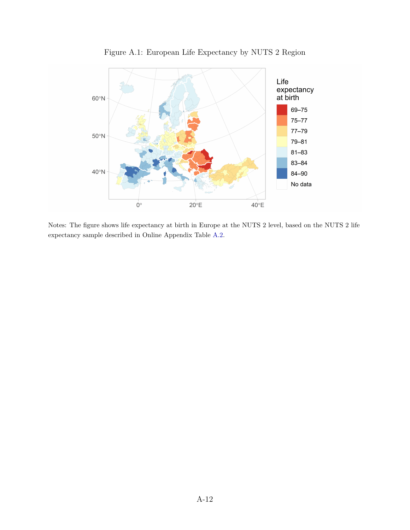<span id="page-11-0"></span>

Figure A.1: European Life Expectancy by NUTS 2 Region

Notes: The figure shows life expectancy at birth in Europe at the NUTS 2 level, based on the NUTS 2 life expectancy sample described in Online Appendix Table [A.2.](#page-7-0)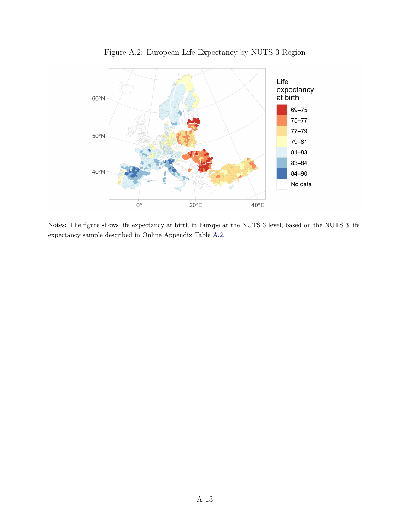<span id="page-12-0"></span>

Figure A.2: European Life Expectancy by NUTS 3 Region

Notes: The figure shows life expectancy at birth in Europe at the NUTS 3 level, based on the NUTS 3 life expectancy sample described in Online Appendix Table [A.2.](#page-7-0)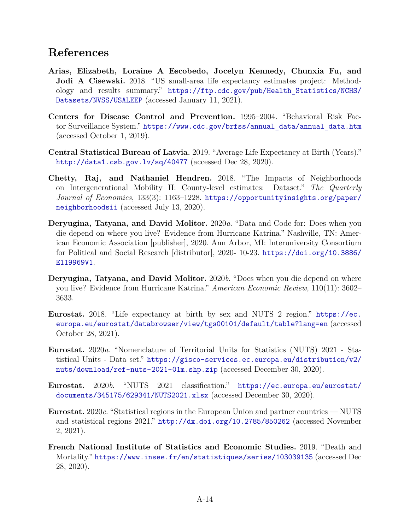# **References**

- <span id="page-13-0"></span>**Arias, Elizabeth, Loraine A Escobedo, Jocelyn Kennedy, Chunxia Fu, and Jodi A Cisewski.** 2018. "US small-area life expectancy estimates project: Methodology and results summary." [https://ftp.cdc.gov/pub/Health\\_Statistics/NCHS/](https://ftp.cdc.gov/pub/Health_Statistics/NCHS/Datasets/NVSS/USALEEP) [Datasets/NVSS/USALEEP](https://ftp.cdc.gov/pub/Health_Statistics/NCHS/Datasets/NVSS/USALEEP) (accessed January 11, 2021).
- <span id="page-13-7"></span>**Centers for Disease Control and Prevention.** 1995–2004. "Behavioral Risk Factor Surveillance System." [https://www.cdc.gov/brfss/annual\\_data/annual\\_data.htm](https://www.cdc.gov/brfss/annual_data/annual_data.htm) (accessed October 1, 2019).
- <span id="page-13-10"></span>**Central Statistical Bureau of Latvia.** 2019. "Average Life Expectancy at Birth (Years)." <http://data1.csb.gov.lv/sq/40477> (accessed Dec 28, 2020).
- <span id="page-13-8"></span>**Chetty, Raj, and Nathaniel Hendren.** 2018. "The Impacts of Neighborhoods on Intergenerational Mobility II: County-level estimates: Dataset." *The Quarterly Journal of Economics*, 133(3): 1163–1228. [https://opportunityinsights.org/paper/](https://opportunityinsights.org/paper/neighborhoodsii) [neighborhoodsii](https://opportunityinsights.org/paper/neighborhoodsii) (accessed July 13, 2020).
- <span id="page-13-6"></span>**Deryugina, Tatyana, and David Molitor.** 2020*a*. "Data and Code for: Does when you die depend on where you live? Evidence from Hurricane Katrina." Nashville, TN: American Economic Association [publisher], 2020. Ann Arbor, MI: Interuniversity Consortium for Political and Social Research [distributor], 2020- 10-23. [https://doi.org/10.3886/](https://doi.org/10.3886/E119969V1) [E119969V1](https://doi.org/10.3886/E119969V1).
- <span id="page-13-5"></span>**Deryugina, Tatyana, and David Molitor.** 2020*b*. "Does when you die depend on where you live? Evidence from Hurricane Katrina." *American Economic Review*, 110(11): 3602– 3633.
- <span id="page-13-4"></span>**Eurostat.** 2018. "Life expectancy at birth by sex and NUTS 2 region." [https://ec.](https://ec.europa.eu/eurostat/databrowser/view/tgs00101/default/table?lang=en) [europa.eu/eurostat/databrowser/view/tgs00101/default/table?lang=en](https://ec.europa.eu/eurostat/databrowser/view/tgs00101/default/table?lang=en) (accessed October 28, 2021).
- <span id="page-13-3"></span>**Eurostat.** 2020*a*. "Nomenclature of Territorial Units for Statistics (NUTS) 2021 - Statistical Units - Data set." [https://gisco-services.ec.europa.eu/distribution/v2/](https://gisco-services.ec.europa.eu/distribution/v2/nuts/download/ref-nuts-2021-01m.shp.zip) [nuts/download/ref-nuts-2021-01m.shp.zip](https://gisco-services.ec.europa.eu/distribution/v2/nuts/download/ref-nuts-2021-01m.shp.zip) (accessed December 30, 2020).
- <span id="page-13-2"></span>**Eurostat.** 2020*b*. "NUTS 2021 classification." [https://ec.europa.eu/eurostat/](https://ec.europa.eu/eurostat/documents/345175/629341/NUTS2021.xlsx) [documents/345175/629341/NUTS2021.xlsx](https://ec.europa.eu/eurostat/documents/345175/629341/NUTS2021.xlsx) (accessed December 30, 2020).
- <span id="page-13-1"></span>**Eurostat.** 2020*c*. "Statistical regions in the European Union and partner countries — NUTS and statistical regions 2021." <http://dx.doi.org/10.2785/850262> (accessed November 2, 2021).
- <span id="page-13-9"></span>**French National Institute of Statistics and Economic Studies.** 2019. "Death and Mortality." <https://www.insee.fr/en/statistiques/series/103039135> (accessed Dec 28, 2020).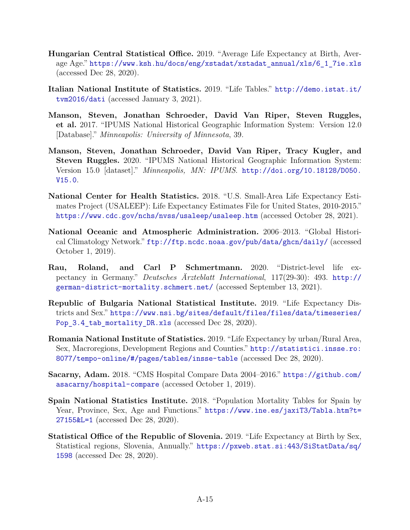- <span id="page-14-7"></span>**Hungarian Central Statistical Office.** 2019. "Average Life Expectancy at Birth, Average Age." [https://www.ksh.hu/docs/eng/xstadat/xstadat\\_annual/xls/6\\_1\\_7ie.xls](https://www.ksh.hu/docs/eng/xstadat/xstadat_annual/xls/6_1_7ie.xls) (accessed Dec 28, 2020).
- <span id="page-14-8"></span>**Italian National Institute of Statistics.** 2019. "Life Tables." [http://demo.istat.it/](http://demo.istat.it/tvm2016/dati) [tvm2016/dati](http://demo.istat.it/tvm2016/dati) (accessed January 3, 2021).
- <span id="page-14-2"></span>**Manson, Steven, Jonathan Schroeder, David Van Riper, Steven Ruggles, et al.** 2017. "IPUMS National Historical Geographic Information System: Version 12.0 [Database]." *Minneapolis: University of Minnesota*, 39.
- <span id="page-14-1"></span>**Manson, Steven, Jonathan Schroeder, David Van Riper, Tracy Kugler, and Steven Ruggles.** 2020. "IPUMS National Historical Geographic Information System: Version 15.0 [dataset]." *Minneapolis, MN: IPUMS*. [http://doi.org/10.18128/D050.](http://doi.org/10.18128/D050.V15.0) [V15.0](http://doi.org/10.18128/D050.V15.0).
- <span id="page-14-0"></span>**National Center for Health Statistics.** 2018. "U.S. Small-Area Life Expectancy Estimates Project (USALEEP): Life Expectancy Estimates File for United States, 2010-2015." <https://www.cdc.gov/nchs/nvss/usaleep/usaleep.htm> (accessed October 28, 2021).
- <span id="page-14-4"></span>**National Oceanic and Atmospheric Administration.** 2006–2013. "Global Historical Climatology Network." <ftp://ftp.ncdc.noaa.gov/pub/data/ghcn/daily/> (accessed October 1, 2019).
- <span id="page-14-6"></span>**Rau, Roland, and Carl P Schmertmann.** 2020. "District-level life expectancy in Germany." *Deutsches Ärzteblatt International*, 117(29-30): 493. [http://](http://german-district-mortality.schmert.net/) [german-district-mortality.schmert.net/](http://german-district-mortality.schmert.net/) (accessed September 13, 2021).
- <span id="page-14-5"></span>**Republic of Bulgaria National Statistical Institute.** 2019. "Life Expectancy Districts and Sex." [https://www.nsi.bg/sites/default/files/files/data/timeseries/](https://www.nsi.bg/sites/default/files/files/data/timeseries/Pop_3.4_tab_mortality_DR.xls) [Pop\\_3.4\\_tab\\_mortality\\_DR.xls](https://www.nsi.bg/sites/default/files/files/data/timeseries/Pop_3.4_tab_mortality_DR.xls) (accessed Dec 28, 2020).
- <span id="page-14-9"></span>**Romania National Institute of Statistics.** 2019. "Life Expectancy by urban/Rural Area, Sex, Macroregions, Development Regions and Counties." [http://statistici.insse.ro:](http://statistici.insse.ro:8077/tempo-online/#/pages/tables/insse-table) [8077/tempo-online/#/pages/tables/insse-table](http://statistici.insse.ro:8077/tempo-online/#/pages/tables/insse-table) (accessed Dec 28, 2020).
- <span id="page-14-3"></span>**Sacarny, Adam.** 2018. "CMS Hospital Compare Data 2004–2016." [https://github.com/](https://github.com/asacarny/hospital-compare) [asacarny/hospital-compare](https://github.com/asacarny/hospital-compare) (accessed October 1, 2019).
- <span id="page-14-11"></span>**Spain National Statistics Institute.** 2018. "Population Mortality Tables for Spain by Year, Province, Sex, Age and Functions." [https://www.ine.es/jaxiT3/Tabla.htm?t=](https://www.ine.es/jaxiT3/Tabla.htm?t=27155&L=1) [27155&L=1](https://www.ine.es/jaxiT3/Tabla.htm?t=27155&L=1) (accessed Dec 28, 2020).
- <span id="page-14-10"></span>**Statistical Office of the Republic of Slovenia.** 2019. "Life Expectancy at Birth by Sex, Statistical regions, Slovenia, Annually." [https://pxweb.stat.si:443/SiStatData/sq/](https://pxweb.stat.si:443/SiStatData/sq/1598) [1598](https://pxweb.stat.si:443/SiStatData/sq/1598) (accessed Dec 28, 2020).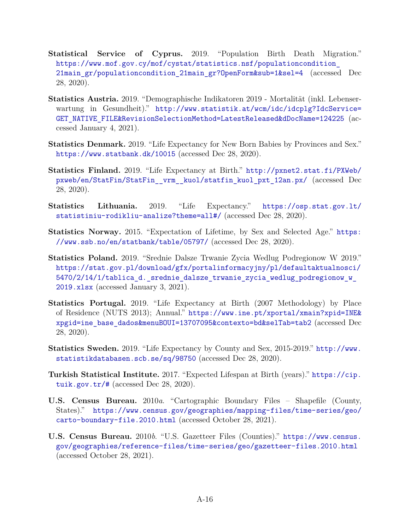- <span id="page-15-3"></span>**Statistical Service of Cyprus.** 2019. "Population Birth Death Migration." [https://www.mof.gov.cy/mof/cystat/statistics.nsf/populationcondition\\_](https://www.mof.gov.cy/mof/cystat/statistics.nsf/populationcondition_21main_gr/populationcondition_21main_gr?OpenForm&sub=1&sel=4) [21main\\_gr/populationcondition\\_21main\\_gr?OpenForm&sub=1&sel=4](https://www.mof.gov.cy/mof/cystat/statistics.nsf/populationcondition_21main_gr/populationcondition_21main_gr?OpenForm&sub=1&sel=4) (accessed Dec 28, 2020).
- <span id="page-15-2"></span>**Statistics Austria.** 2019. "Demographische Indikatoren 2019 - Mortalität (inkl. Lebenserwartung in Gesundheit)." [http://www.statistik.at/wcm/idc/idcplg?IdcService=](http://www.statistik.at/wcm/idc/idcplg?IdcService=GET_NATIVE_FILE&RevisionSelectionMethod=LatestReleased&dDocName=124225) [GET\\_NATIVE\\_FILE&RevisionSelectionMethod=LatestReleased&dDocName=124225](http://www.statistik.at/wcm/idc/idcplg?IdcService=GET_NATIVE_FILE&RevisionSelectionMethod=LatestReleased&dDocName=124225) (accessed January 4, 2021).
- <span id="page-15-4"></span>**Statistics Denmark.** 2019. "Life Expectancy for New Born Babies by Provinces and Sex." <https://www.statbank.dk/10015> (accessed Dec 28, 2020).
- <span id="page-15-5"></span>**Statistics Finland.** 2019. "Life Expectancy at Birth." [http://pxnet2.stat.fi/PXWeb/](http://pxnet2.stat.fi/PXWeb/pxweb/en/StatFin/StatFin__vrm__kuol/statfin_kuol_pxt_12an.px/) [pxweb/en/StatFin/StatFin\\_\\_vrm\\_\\_kuol/statfin\\_kuol\\_pxt\\_12an.px/](http://pxnet2.stat.fi/PXWeb/pxweb/en/StatFin/StatFin__vrm__kuol/statfin_kuol_pxt_12an.px/) (accessed Dec 28, 2020).
- <span id="page-15-6"></span>**Statistics Lithuania.** 2019. "Life Expectancy." [https://osp.stat.gov.lt/](https://osp.stat.gov.lt/statistiniu-rodikliu-analize?theme=all#/) [statistiniu-rodikliu-analize?theme=all#/](https://osp.stat.gov.lt/statistiniu-rodikliu-analize?theme=all#/) (accessed Dec 28, 2020).
- <span id="page-15-7"></span>**Statistics Norway.** 2015. "Expectation of Lifetime, by Sex and Selected Age." [https:](https://www.ssb.no/en/statbank/table/05797/) [//www.ssb.no/en/statbank/table/05797/](https://www.ssb.no/en/statbank/table/05797/) (accessed Dec 28, 2020).
- <span id="page-15-8"></span>**Statistics Poland.** 2019. "Srednie Dalsze Trwanie Zycia Wedlug Podregionow W 2019." [https://stat.gov.pl/download/gfx/portalinformacyjny/pl/defaultaktualnosci/](https://stat.gov.pl/download/gfx/portalinformacyjny/pl/defaultaktualnosci/5470/2/14/1/tablica_d._srednie_dalsze_trwanie_zycia_wedlug_podregionow_w_2019.xlsx) [5470/2/14/1/tablica\\_d.\\_srednie\\_dalsze\\_trwanie\\_zycia\\_wedlug\\_podregionow\\_w\\_](https://stat.gov.pl/download/gfx/portalinformacyjny/pl/defaultaktualnosci/5470/2/14/1/tablica_d._srednie_dalsze_trwanie_zycia_wedlug_podregionow_w_2019.xlsx) [2019.xlsx](https://stat.gov.pl/download/gfx/portalinformacyjny/pl/defaultaktualnosci/5470/2/14/1/tablica_d._srednie_dalsze_trwanie_zycia_wedlug_podregionow_w_2019.xlsx) (accessed January 3, 2021).
- <span id="page-15-9"></span>**Statistics Portugal.** 2019. "Life Expectancy at Birth (2007 Methodology) by Place of Residence (NUTS 2013); Annual." [https://www.ine.pt/xportal/xmain?xpid=INE&](https://www.ine.pt/xportal/xmain?xpid=INE&xpgid=ine_base_dados&menuBOUI=13707095&contexto=bd&selTab=tab2) [xpgid=ine\\_base\\_dados&menuBOUI=13707095&contexto=bd&selTab=tab2](https://www.ine.pt/xportal/xmain?xpid=INE&xpgid=ine_base_dados&menuBOUI=13707095&contexto=bd&selTab=tab2) (accessed Dec 28, 2020).
- <span id="page-15-10"></span>**Statistics Sweden.** 2019. "Life Expectancy by County and Sex, 2015-2019." [http://www.](http://www.statistikdatabasen.scb.se/sq/98750) [statistikdatabasen.scb.se/sq/98750](http://www.statistikdatabasen.scb.se/sq/98750) (accessed Dec 28, 2020).
- <span id="page-15-11"></span>**Turkish Statistical Institute.** 2017. "Expected Lifespan at Birth (years)." [https://cip.](https://cip.tuik.gov.tr/#) [tuik.gov.tr/#](https://cip.tuik.gov.tr/#) (accessed Dec 28, 2020).
- <span id="page-15-1"></span>**U.S. Census Bureau.** 2010*a*. "Cartographic Boundary Files – Shapefile (County, States)." [https://www.census.gov/geographies/mapping-files/time-series/geo/](https://www.census.gov/geographies/mapping-files/time-series/geo/carto-boundary-file.2010.html) [carto-boundary-file.2010.html](https://www.census.gov/geographies/mapping-files/time-series/geo/carto-boundary-file.2010.html) (accessed October 28, 2021).
- <span id="page-15-0"></span>**U.S. Census Bureau.** 2010*b*. "U.S. Gazetteer Files (Counties)." [https://www.census.](https://www.census.gov/geographies/reference-files/time-series/geo/gazetteer-files.2010.html) [gov/geographies/reference-files/time-series/geo/gazetteer-files.2010.html](https://www.census.gov/geographies/reference-files/time-series/geo/gazetteer-files.2010.html) (accessed October 28, 2021).